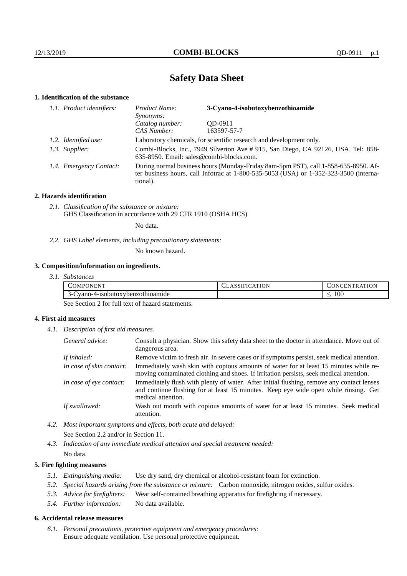# **Safety Data Sheet**

## **1. Identification of the substance**

| 1.1. Product identifiers: | 3-Cyano-4-isobutoxybenzothioamide<br>Product Name:<br>Synonyms:                                                                                                                             |             |  |
|---------------------------|---------------------------------------------------------------------------------------------------------------------------------------------------------------------------------------------|-------------|--|
|                           | Catalog number:                                                                                                                                                                             | OD-0911     |  |
|                           | CAS Number:                                                                                                                                                                                 | 163597-57-7 |  |
| 1.2. Identified use:      | Laboratory chemicals, for scientific research and development only.                                                                                                                         |             |  |
| 1.3. Supplier:            | Combi-Blocks, Inc., 7949 Silverton Ave # 915, San Diego, CA 92126, USA. Tel: 858-<br>635-8950. Email: sales@combi-blocks.com.                                                               |             |  |
| 1.4. Emergency Contact:   | During normal business hours (Monday-Friday 8am-5pm PST), call 1-858-635-8950. Af-<br>ter business hours, call Infotrac at $1-800-535-5053$ (USA) or $1-352-323-3500$ (interna-<br>tional). |             |  |

## **2. Hazards identification**

*2.1. Classification of the substance or mixture:* GHS Classification in accordance with 29 CFR 1910 (OSHA HCS)

No data.

*2.2. GHS Label elements, including precautionary statements:*

No known hazard.

## **3. Composition/information on ingredients.**

| 77377<br>$\sim$ OMPC<br>PONEN <sub>1</sub> | CLASSIFICATION | TRATION<br>$\cup$ ONCEN $^{\prime}$ |
|--------------------------------------------|----------------|-------------------------------------|
| vano-4-isobutoxybenzothioamide<br>า-เ      |                | 100 <sub>1</sub><br>_               |

See Section 2 for full text of hazard statements.

## **4. First aid measures**

*4.1. Description of first aid measures.*

| General advice:          | Consult a physician. Show this safety data sheet to the doctor in attendance. Move out of<br>dangerous area.                                                                                            |
|--------------------------|---------------------------------------------------------------------------------------------------------------------------------------------------------------------------------------------------------|
| If inhaled:              | Remove victim to fresh air. In severe cases or if symptoms persist, seek medical attention.                                                                                                             |
| In case of skin contact: | Immediately wash skin with copious amounts of water for at least 15 minutes while re-<br>moving contaminated clothing and shoes. If irritation persists, seek medical attention.                        |
| In case of eye contact:  | Immediately flush with plenty of water. After initial flushing, remove any contact lenses<br>and continue flushing for at least 15 minutes. Keep eye wide open while rinsing. Get<br>medical attention. |
| If swallowed:            | Wash out mouth with copious amounts of water for at least 15 minutes. Seek medical<br>attention.                                                                                                        |

*4.2. Most important symptoms and effects, both acute and delayed:* See Section 2.2 and/or in Section 11.

*4.3. Indication of any immediate medical attention and special treatment needed:* No data.

## **5. Fire fighting measures**

- *5.1. Extinguishing media:* Use dry sand, dry chemical or alcohol-resistant foam for extinction.
- *5.2. Special hazards arising from the substance or mixture:* Carbon monoxide, nitrogen oxides, sulfur oxides.
- *5.3. Advice for firefighters:* Wear self-contained breathing apparatus for firefighting if necessary.
- *5.4. Further information:* No data available.

## **6. Accidental release measures**

*6.1. Personal precautions, protective equipment and emergency procedures:* Ensure adequate ventilation. Use personal protective equipment.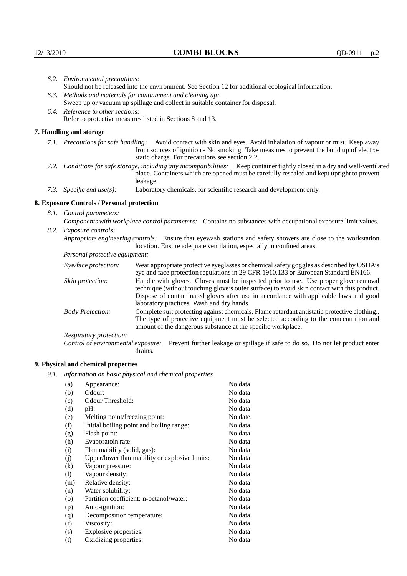| 6.2. Environmental precautions:                                                |                                                                                                    |                                                                                                                                                                                                                                                                                                                        |  |  |
|--------------------------------------------------------------------------------|----------------------------------------------------------------------------------------------------|------------------------------------------------------------------------------------------------------------------------------------------------------------------------------------------------------------------------------------------------------------------------------------------------------------------------|--|--|
|                                                                                | Should not be released into the environment. See Section 12 for additional ecological information. |                                                                                                                                                                                                                                                                                                                        |  |  |
| 6.3.                                                                           | Methods and materials for containment and cleaning up:                                             |                                                                                                                                                                                                                                                                                                                        |  |  |
| Sweep up or vacuum up spillage and collect in suitable container for disposal. |                                                                                                    |                                                                                                                                                                                                                                                                                                                        |  |  |
|                                                                                | 6.4. Reference to other sections:                                                                  |                                                                                                                                                                                                                                                                                                                        |  |  |
|                                                                                |                                                                                                    | Refer to protective measures listed in Sections 8 and 13.                                                                                                                                                                                                                                                              |  |  |
|                                                                                | 7. Handling and storage                                                                            |                                                                                                                                                                                                                                                                                                                        |  |  |
|                                                                                |                                                                                                    | 7.1. Precautions for safe handling: Avoid contact with skin and eyes. Avoid inhalation of vapour or mist. Keep away<br>from sources of ignition - No smoking. Take measures to prevent the build up of electro-<br>static charge. For precautions see section 2.2.                                                     |  |  |
| 7.2.                                                                           |                                                                                                    | Conditions for safe storage, including any incompatibilities: Keep container tightly closed in a dry and well-ventilated<br>place. Containers which are opened must be carefully resealed and kept upright to prevent<br>leakage.                                                                                      |  |  |
|                                                                                | 7.3. Specific end $use(s)$ :                                                                       | Laboratory chemicals, for scientific research and development only.                                                                                                                                                                                                                                                    |  |  |
|                                                                                | 8. Exposure Controls / Personal protection                                                         |                                                                                                                                                                                                                                                                                                                        |  |  |
|                                                                                | 8.1. Control parameters:                                                                           |                                                                                                                                                                                                                                                                                                                        |  |  |
|                                                                                |                                                                                                    | Components with workplace control parameters: Contains no substances with occupational exposure limit values.                                                                                                                                                                                                          |  |  |
|                                                                                | 8.2. Exposure controls:                                                                            |                                                                                                                                                                                                                                                                                                                        |  |  |
|                                                                                |                                                                                                    | Appropriate engineering controls: Ensure that eyewash stations and safety showers are close to the workstation<br>location. Ensure adequate ventilation, especially in confined areas.                                                                                                                                 |  |  |
|                                                                                | Personal protective equipment:                                                                     |                                                                                                                                                                                                                                                                                                                        |  |  |
|                                                                                | Eye/face protection:                                                                               | Wear appropriate protective eyeglasses or chemical safety goggles as described by OSHA's<br>eye and face protection regulations in 29 CFR 1910.133 or European Standard EN166.                                                                                                                                         |  |  |
|                                                                                | Skin protection:                                                                                   | Handle with gloves. Gloves must be inspected prior to use. Use proper glove removal<br>technique (without touching glove's outer surface) to avoid skin contact with this product.<br>Dispose of contaminated gloves after use in accordance with applicable laws and good<br>laboratory practices. Wash and dry hands |  |  |
|                                                                                | <b>Body Protection:</b>                                                                            | Complete suit protecting against chemicals, Flame retardant antistatic protective clothing.,<br>The type of protective equipment must be selected according to the concentration and<br>amount of the dangerous substance at the specific workplace.                                                                   |  |  |
|                                                                                | Respiratory protection:                                                                            |                                                                                                                                                                                                                                                                                                                        |  |  |

Control of environmental exposure: Prevent further leakage or spillage if safe to do so. Do not let product enter drains.

# **9. Physical and chemical properties**

*9.1. Information on basic physical and chemical properties*

| (a)                        | Appearance:                                   | No data  |
|----------------------------|-----------------------------------------------|----------|
| (b)                        | Odour:                                        | No data  |
| (c)                        | Odour Threshold:                              | No data  |
| (d)                        | $pH$ :                                        | No data  |
| (e)                        | Melting point/freezing point:                 | No date. |
| (f)                        | Initial boiling point and boiling range:      | No data  |
| (g)                        | Flash point:                                  | No data  |
| (h)                        | Evaporatoin rate:                             | No data  |
| (i)                        | Flammability (solid, gas):                    | No data  |
| (j)                        | Upper/lower flammability or explosive limits: | No data  |
| $\rm(k)$                   | Vapour pressure:                              | No data  |
| $\left( \mathrm{l}\right)$ | Vapour density:                               | No data  |
| (m)                        | Relative density:                             | No data  |
| (n)                        | Water solubility:                             | No data  |
| $\rm (o)$                  | Partition coefficient: n-octanol/water:       | No data  |
| (p)                        | Auto-ignition:                                | No data  |
| (q)                        | Decomposition temperature:                    | No data  |
| (r)                        | Viscosity:                                    | No data  |
| (s)                        | Explosive properties:                         | No data  |
| (t)                        | Oxidizing properties:                         | No data  |